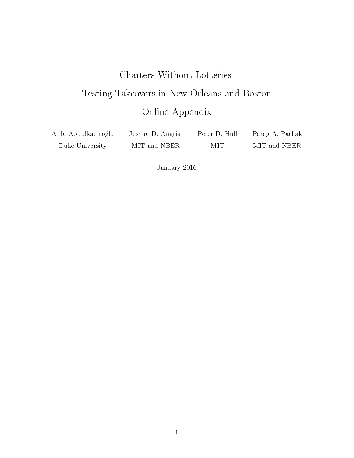# Charters Without Lotteries: Testing Takeovers in New Orleans and Boston Online Appendix

| Atila Abdulkadiroğlu | Joshua D. Angrist | Peter D. Hull | Parag A. Pathak |
|----------------------|-------------------|---------------|-----------------|
| Duke University      | MIT and NBER      | MIT           | MIT and NBER    |

January 2016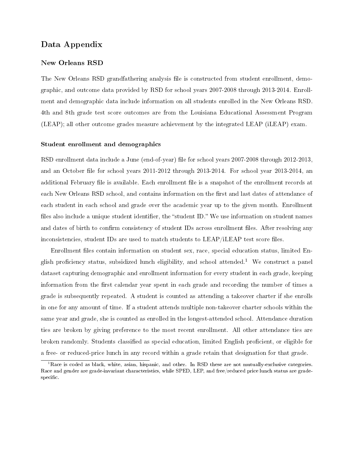## Data Appendix

#### New Orleans RSD

The New Orleans RSD grandfathering analysis file is constructed from student enrollment, demographic, and outcome data provided by RSD for school years 2007-2008 through 2013-2014. Enrollment and demographic data include information on all students enrolled in the New Orleans RSD. 4th and 8th grade test score outcomes are from the Louisiana Educational Assessment Program (LEAP); all other outcome grades measure achievement by the integrated LEAP (iLEAP) exam.

#### Student enrollment and demographics

RSD enrollment data include a June (end-of-year) file for school years 2007-2008 through 2012-2013, and an October file for school years 2011-2012 through 2013-2014. For school year 2013-2014, an additional February file is available. Each enrollment file is a snapshot of the enrollment records at each New Orleans RSD school, and contains information on the first and last dates of attendance of each student in each school and grade over the academic year up to the given month. Enrollment files also include a unique student identifier, the "student ID." We use information on student names and dates of birth to confirm consistency of student IDs across enrollment files. After resolving any inconsistencies, student IDs are used to match students to  $LEAP/IEAP$  test score files.

Enrollment files contain information on student sex, race, special education status, limited En-glish proficiency status, subsidized lunch eligibility, and school attended.<sup>[1](#page-1-0)</sup> We construct a panel dataset capturing demographic and enrollment information for every student in each grade, keeping information from the first calendar year spent in each grade and recording the number of times a grade is subsequently repeated. A student is counted as attending a takeover charter if she enrolls in one for any amount of time. If a student attends multiple non-takeover charter schools within the same year and grade, she is counted as enrolled in the longest-attended school. Attendance duration ties are broken by giving preference to the most recent enrollment. All other attendance ties are broken randomly. Students classified as special education, limited English proficient, or eligible for a free- or reduced-price lunch in any record within a grade retain that designation for that grade.

<span id="page-1-0"></span> ${}^{1}$ Race is coded as black, white, asian, hispanic, and other. In RSD these are not mutually-exclusive categories. Race and gender are grade-invariant characteristics, while SPED, LEP, and free/reduced price lunch status are gradespecific.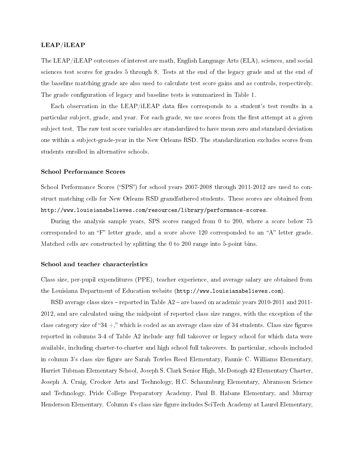#### LEAP/iLEAP

The LEAP/iLEAP outcomes of interest are math, English Language Arts (ELA), sciences, and social sciences test scores for grades 5 through 8. Tests at the end of the legacy grade and at the end of the baseline matching grade are also used to calculate test score gains and as controls, respectively. The grade configuration of legacy and baseline tests is summarized in Table 1.

Each observation in the LEAP/iLEAP data files corresponds to a student's test results in a particular subject, grade, and year. For each grade, we use scores from the first attempt at a given subject test. The raw test score variables are standardized to have mean zero and standard deviation one within a subject-grade-year in the New Orleans RSD. The standardization excludes scores from students enrolled in alternative schools.

#### School Performance Scores

School Performance Scores ("SPS") for school years 2007-2008 through 2011-2012 are used to construct matching cells for New Orleans RSD grandfathered students. These scores are obtained from [http://www.louisianabelieves.com/resources/library/performance-scores.](http://www.louisianabelieves.com/resources/library/performance-scores)

During the analysis sample years, SPS scores ranged from 0 to 200, where a score below 75 corresponded to an "F" letter grade, and a score above 120 corresponded to an "A" letter grade. Matched cells are constructed by splitting the 0 to 200 range into 5-point bins.

#### School and teacher characteristics

Class size, per-pupil expenditures (PPE), teacher experience, and average salary are obtained from the Louisiana Department of Education website [\(http://www.louisianabelieves.com\)](http://www.louisianabelieves.com).

RSD average class sizes – reported in Table  $A2$  – are based on academic years 2010-2011 and 2011-2012, and are calculated using the midpoint of reported class size ranges, with the exception of the class category size of "34  $+$ ," which is coded as an average class size of 34 students. Class size figures reported in columns 3-4 of Table A2 include any full takeover or legacy school for which data were available, including charter-to-charter and high school full takeovers. In particular, schools included in column 3's class size figure are Sarah Towles Reed Elementary, Fannie C. Williams Elementary, Harriet Tubman Elementary School, Joseph S. Clark Senior High, McDonogh 42 Elementary Charter, Joseph A. Craig, Crocker Arts and Technology, H.C. Schaumburg Elementary, Abramson Science and Technology, Pride College Preparatory Academy, Paul B. Habans Elementary, and Murray Henderson Elementary. Column 4's class size figure includes SciTech Academy at Laurel Elementary,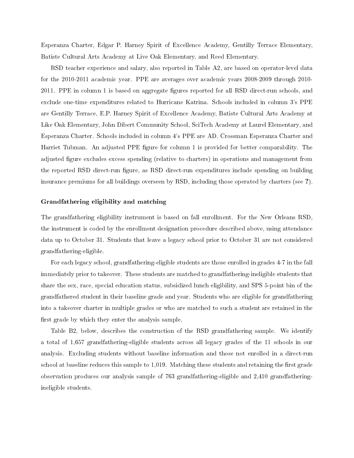Esperanza Charter, Edgar P. Harney Spirit of Excellence Academy, Gentilly Terrace Elementary, Batiste Cultural Arts Academy at Live Oak Elementary, and Reed Elementary.

RSD teacher experience and salary, also reported in Table A2, are based on operator-level data for the 2010-2011 academic year. PPE are averages over academic years 2008-2009 through 2010- 2011. PPE in column 1 is based on aggregate figures reported for all RSD direct-run schools, and exclude one-time expenditures related to Hurricane Katrina. Schools included in column 3's PPE are Gentilly Terrace, E.P. Harney Spirit of Excellence Academy, Batiste Cultural Arts Academy at Like Oak Elementary, John Dibert Community School, SciTech Academy at Laurel Elementary, and Esperanza Charter. Schools included in column 4's PPE are AD. Crossman Esperanza Charter and Harriet Tubman. An adjusted PPE figure for column 1 is provided for better comparability. The adjusted figure excludes excess spending (relative to charters) in operations and management from the reported RSD direct-run figure, as RSD direct-run expenditures include spending on building insurance premiums for all buildings overseen by RSD, including those operated by charters (see ?).

#### Grandfathering eligibility and matching

The grandfathering eligibility instrument is based on fall enrollment. For the New Orleans RSD, the instrument is coded by the enrollment designation procedure described above, using attendance data up to October 31. Students that leave a legacy school prior to October 31 are not considered grandfathering-eligible.

For each legacy school, grandfathering-eligible students are those enrolled in grades 4-7 in the fall immediately prior to takeover. These students are matched to grandfathering-ineligible students that share the sex, race, special education status, subsidized lunch eligibility, and SPS 5-point bin of the grandfathered student in their baseline grade and year. Students who are eligible for grandfathering into a takeover charter in multiple grades or who are matched to such a student are retained in the first grade by which they enter the analysis sample.

Table B2, below, describes the construction of the RSD grandfathering sample. We identify a total of 1,657 grandfathering-eligible students across all legacy grades of the 11 schools in our analysis. Excluding students without baseline information and those not enrolled in a direct-run school at baseline reduces this sample to  $1,019$ . Matching these students and retaining the first grade observation produces our analysis sample of 763 grandfathering-eligible and 2,410 grandfatheringineligible students.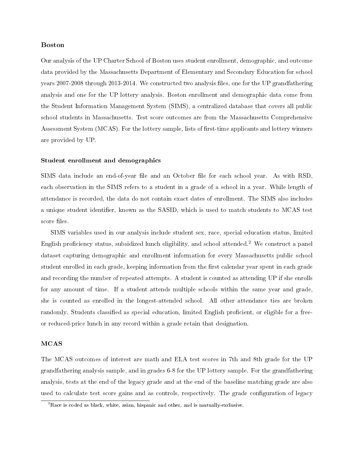## Boston

Our analysis of the UP Charter School of Boston uses student enrollment, demographic, and outcome data provided by the Massachusetts Department of Elementary and Secondary Education for school years 2007-2008 through 2013-2014. We constructed two analysis files, one for the UP grandfathering analysis and one for the UP lottery analysis. Boston enrollment and demographic data come from the Student Information Management System (SIMS), a centralized database that covers all public school students in Massachusetts. Test score outcomes are from the Massachusetts Comprehensive Assessment System (MCAS). For the lottery sample, lists of first-time applicants and lottery winners are provided by UP.

### Student enrollment and demographics

SIMS data include an end-of-year file and an October file for each school year. As with RSD, each observation in the SIMS refers to a student in a grade of a school in a year. While length of attendance is recorded, the data do not contain exact dates of enrollment. The SIMS also includes a unique student identifier, known as the SASID, which is used to match students to MCAS test score files.

SIMS variables used in our analysis include student sex, race, special education status, limited English proficiency status, subsidized lunch eligibility, and school attended.<sup>[2](#page-4-0)</sup> We construct a panel dataset capturing demographic and enrollment information for every Massachusetts public school student enrolled in each grade, keeping information from the first calendar year spent in each grade and recording the number of repeated attempts. A student is counted as attending UP if she enrolls for any amount of time. If a student attends multiple schools within the same year and grade, she is counted as enrolled in the longest-attended school. All other attendance ties are broken randomly. Students classified as special education, limited English proficient, or eligible for a freeor reduced-price lunch in any record within a grade retain that designation.

## MCAS

The MCAS outcomes of interest are math and ELA test scores in 7th and 8th grade for the UP grandfathering analysis sample, and in grades 6-8 for the UP lottery sample. For the grandfathering analysis, tests at the end of the legacy grade and at the end of the baseline matching grade are also used to calculate test score gains and as controls, respectively. The grade configuration of legacy

<span id="page-4-0"></span> ${}^{2}$ Race is coded as black, white, asian, hispanic and other, and is mutually-exclusive.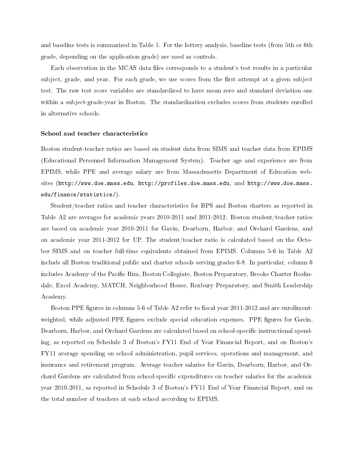and baseline tests is summarized in Table 1. For the lottery analysis, baseline tests (from 5th or 6th grade, depending on the application grade) are used as controls.

Each observation in the MCAS data files corresponds to a student's test results in a particular subject, grade, and year. For each grade, we use scores from the first attempt at a given subject test. The raw test score variables are standardized to have mean zero and standard deviation one within a subject-grade-year in Boston. The standardization excludes scores from students enrolled in alternative schools.

#### School and teacher characteristics

Boston student-teacher ratios are based on student data from SIMS and teacher data from EPIMS (Educational Personnel Information Management System). Teacher age and experience are from EPIMS, while PPE and average salary are from Massachusetts Department of Education websites [\(http://www.doe.mass.edu,](http://www.doe.mass.edu) [http://profiles.doe.mass.edu,](http://profiles.doe.mass.edu) and [http://www.doe.mass.](http://www.doe.mass.edu/finance/statistics/) [edu/finance/statistics/\)](http://www.doe.mass.edu/finance/statistics/).

Student/teacher ratios and teacher characteristics for BPS and Boston charters as reported in Table A2 are averages for academic years 2010-2011 and 2011-2012. Boston student/teacher ratios are based on academic year 2010-2011 for Gavin, Dearborn, Harbor, and Orchard Gardens, and on academic year 2011-2012 for UP. The student/teacher ratio is calculated based on the October SIMS and on teacher full-time equivalents obtained from EPIMS. Columns 5-6 in Table A2 include all Boston traditional public and charter schools serving grades 6-8. In particular, column 6 includes Academy of the Pacific Rim, Boston Collegiate, Boston Preparatory, Brooke Charter Roslindale, Excel Academy, MATCH, Neighborhood House, Roxbury Preparatory, and Smith Leadership Academy.

Boston PPE figures in columns 5-6 of Table A2 refer to fiscal year 2011-2012 and are enrollmentweighted, while adjusted PPE figures exclude special education expenses. PPE figures for Gavin. Dearborn, Harbor, and Orchard Gardens are calculated based on school-specific instructional spending, as reported on Schedule 3 of Boston's FY11 End of Year Financial Report, and on Boston's FY11 average spending on school administration, pupil services, operations and management, and insurance and retirement program. Average teacher salaries for Gavin, Dearborn, Harbor, and Orchard Gardens are calculated from school-specific expenditures on teacher salaries for the academic year 2010-2011, as reported in Schedule 3 of Boston's FY11 End of Year Financial Report, and on the total number of teachers at each school according to EPIMS.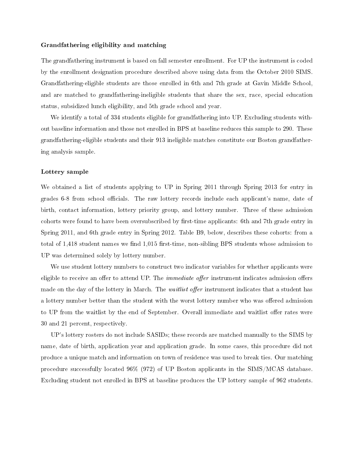#### Grandfathering eligibility and matching

The grandfathering instrument is based on fall semester enrollment. For UP the instrument is coded by the enrollment designation procedure described above using data from the October 2010 SIMS. Grandfathering-eligible students are those enrolled in 6th and 7th grade at Gavin Middle School, and are matched to grandfathering-ineligible students that share the sex, race, special education status, subsidized lunch eligibility, and 5th grade school and year.

We identify a total of 334 students eligible for grandfathering into UP. Excluding students without baseline information and those not enrolled in BPS at baseline reduces this sample to 290. These grandfathering-eligible students and their 913 ineligible matches constitute our Boston grandfathering analysis sample.

#### Lottery sample

We obtained a list of students applying to UP in Spring 2011 through Spring 2013 for entry in grades 6-8 from school officials. The raw lottery records include each applicant's name, date of birth, contact information, lottery priority group, and lottery number. Three of these admission cohorts were found to have been oversubscribed by first-time applicants: 6th and 7th grade entry in Spring 2011, and 6th grade entry in Spring 2012. Table B9, below, describes these cohorts: from a total of 1,418 student names we find 1,015 first-time, non-sibling BPS students whose admission to UP was determined solely by lottery number.

We use student lottery numbers to construct two indicator variables for whether applicants were eligible to receive an offer to attend UP. The *immediate offer* instrument indicates admission offers made on the day of the lottery in March. The *waitlist offer* instrument indicates that a student has a lottery number better than the student with the worst lottery number who was offered admission to UP from the waitlist by the end of September. Overall immediate and waitlist offer rates were 30 and 21 percent, respectively.

UP's lottery rosters do not include SASIDs; these records are matched manually to the SIMS by name, date of birth, application year and application grade. In some cases, this procedure did not produce a unique match and information on town of residence was used to break ties. Our matching procedure successfully located 96% (972) of UP Boston applicants in the SIMS/MCAS database. Excluding student not enrolled in BPS at baseline produces the UP lottery sample of 962 students.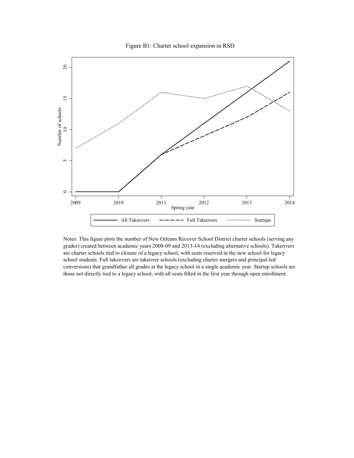Figure B1: Charter school expansion in RSD



Notes: This figure plots the number of New Orleans Recover School District charter schools (serving any grades) created between academic years 2008-09 and 2013-14 (excluding alternative schools). Takeovers are charter schools tied to closure of a legacy school, with seats reserved in the new school for legacy school students. Full takeovers are takeover schools (excluding charter mergers and principal-led conversions) that grandfather all grades at the legacy school in a single academic year. Startup schools are those not directly tied to a legacy school, with all seats filled in the first year through open enrollment.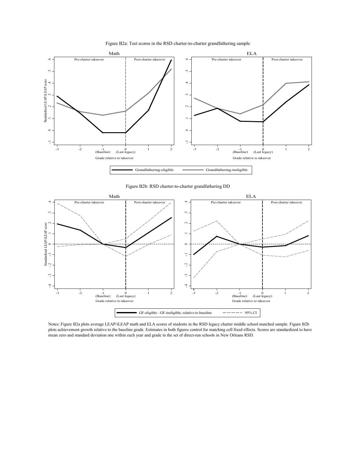

Figure B2a: Test scores in the RSD charter-to-charter grandfathering sample





Notes: Figure B2a plots average LEAP/iLEAP math and ELA scores of students in the RSD legacy charter middle school matched sample. Figure B2b plots achievement growth relative to the baseline grade. Estimates in both figures control for matching cell fixed effects. Scores are standardized to have mean zero and standard deviation one within each year and grade in the set of direct-run schools in New Orleans RSD.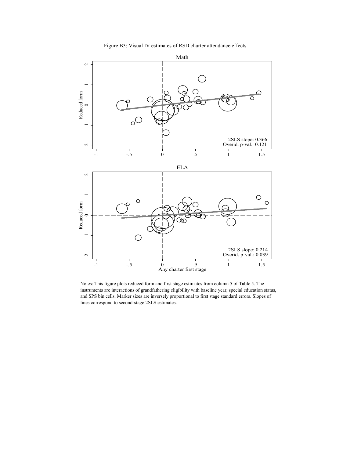



Notes: This figure plots reduced form and first stage estimates from column 5 of Table 5. The instruments are interactions of grandfathering eligibility with baseline year, special education status, and SPS bin cells. Marker sizes are inversely proportional to first stage standard errors. Slopes of lines correspond to second-stage 2SLS estimates.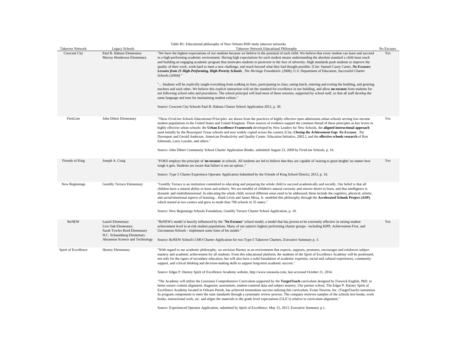|                                                                                                                                           | Table B1: Educational philosophy of New Orleans RSD study takeover networks                                                                                                                                                                                                                                                                                                                                                                                                                                                                                                                                                                                                                                                                                                                                                                                                                                                                                                                                                                                                                                                                                                                                                                                                                                                                                                                                                                                              |                                                                                                                                                                                                                                                                                                                                                                                                                                                  |
|-------------------------------------------------------------------------------------------------------------------------------------------|--------------------------------------------------------------------------------------------------------------------------------------------------------------------------------------------------------------------------------------------------------------------------------------------------------------------------------------------------------------------------------------------------------------------------------------------------------------------------------------------------------------------------------------------------------------------------------------------------------------------------------------------------------------------------------------------------------------------------------------------------------------------------------------------------------------------------------------------------------------------------------------------------------------------------------------------------------------------------------------------------------------------------------------------------------------------------------------------------------------------------------------------------------------------------------------------------------------------------------------------------------------------------------------------------------------------------------------------------------------------------------------------------------------------------------------------------------------------------|--------------------------------------------------------------------------------------------------------------------------------------------------------------------------------------------------------------------------------------------------------------------------------------------------------------------------------------------------------------------------------------------------------------------------------------------------|
| Legacy Schools                                                                                                                            | Takeover Network Educational Philosophy                                                                                                                                                                                                                                                                                                                                                                                                                                                                                                                                                                                                                                                                                                                                                                                                                                                                                                                                                                                                                                                                                                                                                                                                                                                                                                                                                                                                                                  | No Excuses                                                                                                                                                                                                                                                                                                                                                                                                                                       |
| Murray Henderson Elementary                                                                                                               | in a high-performing academic environment. Having high expectations for each student means understanding the absolute standard a child must reach<br>and building an engaging academic program that motivates students to persevere in the face of adversity. High standards push students to improve the<br>quality of their work, work hard to meet a new challenge, and reach beyond what they had thought possible. [Cite: Samuel Casey Carter, No Excuses:<br>Lessons from 21 High-Performing, High-Poverty Schools, The Heritage Foundation (2000); U.S. Department of Education, Successful Charter<br>Schools (2004)] "<br>" Students will be explicitly taught everything from walking in lines, participating in class, eating lunch, entering and exiting the building, and greeting<br>teachers and each other. We believe this explicit instruction will set the standard for excellence in our building, and allow no excuses from students for<br>not following school rules and procedures. The school principal will lead most of these sessions, supported by school staff, so that all staff develop the<br>same language and tone for maintaining student culture."<br>Source: Crescent City Schools Paul B. Habans Charter School Application 2012, p. 30.                                                                                                                                                                                          | Yes                                                                                                                                                                                                                                                                                                                                                                                                                                              |
| John Dibert Elementary                                                                                                                    | "These FirstLine Schools Educational Principles are drawn from the practices of highly effective open admissions urban schools serving low-income<br>student populations in the United States and United Kingdom. Three sources of evidence support the common thread of these principles as key levers in<br>highly effective urban schools: the Urban Excellence Framework developed by New Leaders for New Schools, the aligned instructional approach<br>used initially by the Brazosport Texas schools and now widely copied across the country [Cite: Closing the Achievement Gap: No Excuses. Pat<br>Davenport and Gerald Anderson. American Productivity and Quality Center. Education Initiative, 2002.], and the effective schools research of Ron<br>Edmonds, Larry Lezotte, and others."                                                                                                                                                                                                                                                                                                                                                                                                                                                                                                                                                                                                                                                                     | Yes                                                                                                                                                                                                                                                                                                                                                                                                                                              |
|                                                                                                                                           |                                                                                                                                                                                                                                                                                                                                                                                                                                                                                                                                                                                                                                                                                                                                                                                                                                                                                                                                                                                                                                                                                                                                                                                                                                                                                                                                                                                                                                                                          |                                                                                                                                                                                                                                                                                                                                                                                                                                                  |
|                                                                                                                                           | tough it gets. Students are aware that failure is not an option"<br>Source: Type 5 Charter Experience Operator Application Submitted by the Friends of King School District, 2013, p. 10.                                                                                                                                                                                                                                                                                                                                                                                                                                                                                                                                                                                                                                                                                                                                                                                                                                                                                                                                                                                                                                                                                                                                                                                                                                                                                | Yes                                                                                                                                                                                                                                                                                                                                                                                                                                              |
| <b>Gentilly Terrace Elementary</b>                                                                                                        | "Gentilly Terrace is an institution committed to educating and preparing the whole child to succeed academically and socially. Our belief is that all<br>children have a natural ability to learn and achieve. We are mindful of children's natural curiosity and sincere desire to learn, and that intelligence is<br>dynamic and multidimensional. In educating the whole child, several different areas need to be addressed; these include the cognitive, physical, artistic,<br>and social/emotional aspects of learning Hank Levin and James Meza, Jr. modeled this philosophy through the Accelerated Schools Project (ASP),<br>which started at two centers and grew to mode than 700 schools in 35 states."<br>Source: New Beginnings Schools Foundation, Gentilly Terrace Charter School Application, p. 10.                                                                                                                                                                                                                                                                                                                                                                                                                                                                                                                                                                                                                                                   |                                                                                                                                                                                                                                                                                                                                                                                                                                                  |
| Laurel Elementary<br>Live Oak Elementary<br>Sarah Towles Reed Elementary<br>H.C. Schaumburg Elementary<br>Abramson Science and Technology | "ReNEW's model is heavily influenced by the "No Excuses" school model, a model that has proven to be extremely effective in raising student<br>achievement level in at-risk student populations. Many of our nation's highest performing charter groups - including KIPP, Achievement First, and<br>Uncommon Schools - implement some form of his model."<br>Source: ReNEW School's CMO Charter Application for two Type-5 Takeover Charters, Executive Summary p. 3.                                                                                                                                                                                                                                                                                                                                                                                                                                                                                                                                                                                                                                                                                                                                                                                                                                                                                                                                                                                                    | Yes                                                                                                                                                                                                                                                                                                                                                                                                                                              |
| Harney Elementary                                                                                                                         | "With regard to our academic philosophy, we envision Harney as an environment that expects, supports, promotes, encourages and reinforces subject<br>mastery and academic achievement for all students. From this educational platform, the students of the Spirit of Excellence Academy will be positioned,<br>not only for the rigors of secondary education, but will also have a solid foundation of academic expertise, social and cultural experiences, community<br>support, and critical thinking and decision-making skills to support long-term academic success."<br>Source: Edgar P. Harney Spirit of Excellence Academy website, http://www.soeanola.com, last accessed October 21, 2014.<br>"The Academy will utilize the Louisiana Comprehensive Curriculum supported by the TargetTeach curriculum designed by Fenwick English, PhD. to<br>better ensure content alignment, diagnostic assessment, student-centered data and subject mastery. Our partner school, The Edgar P. Harney Spirit of<br>Excellence Academy located in Orleans Parish, has achieved tremendous success utilizing this curriculum. Evans Newton, Inc. (TargetTeach) customizes<br>its program components to meet the state standards through a systematic review process. The company retrieves samples of the schools text books, work<br>books, instructional tools, etc. and aligns the materials to the grade level expectations (GLE's) relative to curriculum alignment." |                                                                                                                                                                                                                                                                                                                                                                                                                                                  |
|                                                                                                                                           | Paul B. Habans Elementary<br>Joseph A. Craig                                                                                                                                                                                                                                                                                                                                                                                                                                                                                                                                                                                                                                                                                                                                                                                                                                                                                                                                                                                                                                                                                                                                                                                                                                                                                                                                                                                                                             | "We have the highest expectations of our students because we believe in the potential of each child. We believe that every student can learn and succeed<br>Source: John Dibert Community School Charter Application Binder, submitted August 23, 2009 by FirstLine Schools, p. 16.<br>"FOKS employs the principle of 'no excuses' at schools. All students are led to believe that they are capable of 'searing to great heights' no matter how |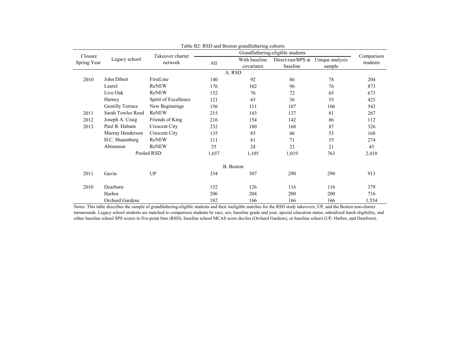| Closure |                              | Takeover charter     |       | Grandfathering-eligible students |                                               |        |                        |  |
|---------|------------------------------|----------------------|-------|----------------------------------|-----------------------------------------------|--------|------------------------|--|
|         | Legacy school<br>Spring Year | network              | All   | With baseline<br>covariates      | Direct-run/BPS at Unique analysis<br>baseline | sample | Comparison<br>students |  |
|         |                              |                      |       | A. RSD                           |                                               |        |                        |  |
| 2010    | John Dibert                  | FirstLine            | 140   | 92                               | 86                                            | 78     | 204                    |  |
|         | Laurel                       | ReNEW                | 176   | 102                              | 96                                            | 76     | 873                    |  |
|         | Live Oak                     | ReNEW                | 152   | 76                               | 72                                            | 65     | 673                    |  |
|         | Harney                       | Spirit of Excellence | 121   | 63                               | 56                                            | 55     | 425                    |  |
|         | <b>Gentilly Terrace</b>      | New Beginnings       | 156   | 111                              | 107                                           | 106    | 543                    |  |
| 2011    | Sarah Towles Reed            | ReNEW                | 215   | 143                              | 137                                           | 81     | 267                    |  |
| 2012    | Joseph A. Craig              | Friends of King      | 216   | 154                              | 142                                           | 86     | 112                    |  |
| 2013    | Paul B. Habans               | <b>Crescent City</b> | 232   | 180                              | 168                                           | 87     | 326                    |  |
|         | Murray Henderson             | <b>Crescent City</b> | 135   | 85                               | 66                                            | 53     | 168                    |  |
|         | H.C. Shaumburg               | ReNEW                | 111   | 81                               | 71                                            | 55     | 274                    |  |
|         | Abramson                     | ReNEW                | 25    | 24                               | 23                                            | 21     | 45                     |  |
|         |                              | Pooled RSD:          | 1,657 | 1,105                            | 1,019                                         | 763    | 2,410                  |  |
|         |                              |                      |       | B. Boston                        |                                               |        |                        |  |
| 2011    | Gavin                        | UP                   | 334   | 307                              | 290                                           | 290    | 913                    |  |
| 2010    | Dearborn                     |                      | 152   | 126                              | 116                                           | 116    | 379                    |  |
|         | Harbor                       |                      | 206   | 204                              | 200                                           | 200    | 716                    |  |
|         | Orchard Gardens              |                      | 182   | 166                              | 166                                           | 166    | 1,554                  |  |

| Table B2: RSD and Boston grandfathering cohorts |  |  |  |  |
|-------------------------------------------------|--|--|--|--|
|-------------------------------------------------|--|--|--|--|

Notes: This table describes the sample of grandfathering-eligible students and their ineligible matches for the RSD study takeovers, UP, and the Boston non-charter turnarounds. Legacy school students are matched to comparison students by race, sex, baseline grade and year, special education status, subsidized lunch eligibility, and either baseline school SPS scores in five-point bins (RSD), baseline school MCAS score deciles (Orchard Gardens), or baseline school (UP, Harbor, and Dearborn).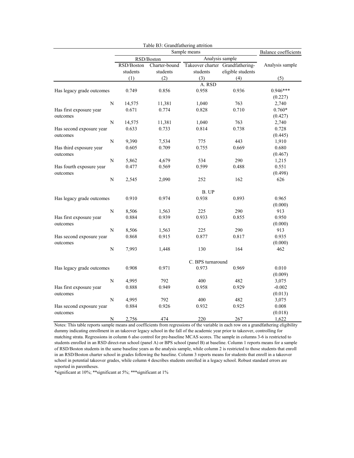|                           |           | Table B3: Grandfathering attrition |                           |                                              |                   |                             |
|---------------------------|-----------|------------------------------------|---------------------------|----------------------------------------------|-------------------|-----------------------------|
|                           |           |                                    |                           | Sample means                                 |                   | <b>Balance coefficients</b> |
|                           |           |                                    | RSD/Boston                | Analysis sample                              |                   |                             |
|                           |           | RSD/Boston<br>students             | Charter-bound<br>students | Takeover charter Grandfathering-<br>students | eligible students | Analysis sample             |
|                           |           | (1)                                | (2)                       | (3)                                          | (4)               | (5)                         |
|                           |           |                                    |                           | A. RSD                                       |                   |                             |
| Has legacy grade outcomes |           | 0.749                              | 0.856                     | 0.958                                        | 0.936             | $0.946***$                  |
|                           |           |                                    |                           |                                              |                   | (0.227)                     |
|                           | ${\bf N}$ | 14,575                             | 11,381                    | 1,040                                        | 763               | 2,740                       |
| Has first exposure year   |           | 0.671                              | 0.774                     | 0.828                                        | 0.710             | $0.760*$                    |
| outcomes                  |           |                                    |                           |                                              |                   | (0.427)                     |
|                           | N         | 14,575                             | 11,381                    | 1,040                                        | 763               | 2,740                       |
| Has second exposure year  |           | 0.633                              | 0.733                     | 0.814                                        | 0.738             | 0.728                       |
| outcomes                  |           |                                    |                           |                                              |                   | (0.445)                     |
|                           | N         | 9,390                              | 7,534                     | 775                                          | 443               | 1,910                       |
| Has third exposure year   |           | 0.605                              | 0.709                     | 0.755                                        | 0.669             | 0.680                       |
| outcomes                  |           |                                    |                           |                                              |                   | (0.467)                     |
|                           | N         | 5,862                              | 4,679                     | 534                                          | 290               | 1,215                       |
| Has fourth exposure year  |           | 0.477                              | 0.569                     | 0.599                                        | 0.488             | 0.551                       |
| outcomes                  |           |                                    |                           |                                              |                   | (0.498)                     |
|                           | N         | 2,545                              | 2,090                     | 252                                          | 162               | 626                         |
|                           |           |                                    |                           |                                              |                   |                             |
|                           |           |                                    |                           | B. UP                                        |                   |                             |
| Has legacy grade outcomes |           | 0.910                              | 0.974                     | 0.938                                        | 0.893             | 0.965                       |
|                           |           |                                    |                           |                                              |                   | (0.000)                     |
|                           | ${\bf N}$ | 8,506                              | 1,563                     | 225                                          | 290               | 913                         |
| Has first exposure year   |           | 0.884                              | 0.939                     | 0.933                                        | 0.855             | 0.950                       |
| outcomes                  |           |                                    |                           |                                              |                   | (0.000)                     |
|                           | ${\bf N}$ | 8,506                              | 1,563                     | 225                                          | 290               | 913                         |
| Has second exposure year  |           | 0.868                              | 0.915                     | 0.877                                        | 0.817             | 0.935                       |
| outcomes                  |           |                                    |                           |                                              |                   | (0.000)                     |
|                           | N         | 7,993                              | 1,448                     | 130                                          | 164               | 462                         |
|                           |           |                                    |                           |                                              |                   |                             |
|                           |           |                                    |                           | C. BPS turnaround                            |                   |                             |
| Has legacy grade outcomes |           | 0.908                              | 0.971                     | 0.973                                        | 0.969             | 0.010                       |
|                           |           |                                    |                           |                                              |                   | (0.009)                     |
|                           | N         | 4,995                              | 792                       | 400                                          | 482               | 3,075                       |
| Has first exposure year   |           | 0.888                              | 0.949                     | 0.958                                        | 0.929             | $-0.002$                    |
| outcomes                  |           |                                    |                           |                                              |                   | (0.013)                     |
|                           | N         | 4,995                              | 792                       | 400                                          | 482               | 3,075                       |
| Has second exposure year  |           | 0.884                              | 0.926                     | 0.932                                        | 0.925             | 0.008                       |
| outcomes                  |           |                                    |                           |                                              |                   | (0.018)                     |
|                           | N         | 2,756                              | 474                       | 220                                          | 267               | 1,622                       |

Notes: This table reports sample means and coefficients from regressions of the variable in each row on a grandfathering eligibility dummy indicating enrollment in an takeover legacy school in the fall of the academic year prior to takeover, controlling for matching strata. Regressions in column 6 also control for pre-baseline MCAS scores. The sample in columns 3-6 is restricted to students enrolled in an RSD direct-run school (panel A) or BPS school (panel B) at baseline. Column 1 reports means for a sample of RSD/Boston students in the same baseline years as the analysis sample, while column 2 is restricted to those students that enroll in an RSD/Boston charter school in grades following the baseline. Column 3 reports means for students that enroll in a takeover school in potential takeover grades, while column 4 describes students enrolled in a legacy school. Robust standard errors are reported in parentheses.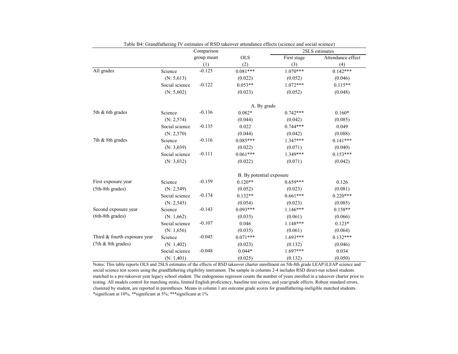|                              |                | Comparison |                          |             | 2SLS estimates    |
|------------------------------|----------------|------------|--------------------------|-------------|-------------------|
|                              |                | group mean | <b>OLS</b>               | First stage | Attendance effect |
|                              |                | (1)        | (2)                      | (3)         | (4)               |
| All grades                   | Science        | $-0.125$   | $0.081***$               | $1.070***$  | $0.142***$        |
|                              | (N: 5, 613)    |            | (0.022)                  | (0.052)     | (0.046)           |
|                              | Social science | $-0.122$   | $0.053**$                | $1.072***$  | $0.115**$         |
|                              | (N: 5,602)     |            | (0.023)                  | (0.052)     | (0.048)           |
|                              |                |            | A. By grade              |             |                   |
| 5th & 6th grades             | Science        | $-0.136$   | $0.082*$                 | $0.742***$  | $0.160*$          |
|                              | (N: 2, 574)    |            | (0.044)                  | (0.042)     | (0.085)           |
|                              | Social science | $-0.135$   | 0.022                    | $0.744***$  | 0.049             |
|                              | (N: 2, 570)    |            | (0.044)                  | (0.042)     | (0.088)           |
| 7th & 8th grades             | Science        | $-0.116$   | $0.085***$               | $1.347***$  | $0.141***$        |
|                              | (N: 3,039)     |            | (0.022)                  | (0.071)     | (0.040)           |
|                              | Social science | $-0.111$   | $0.061***$               | 1.349***    | $0.153***$        |
|                              | (N: 3,032)     |            | (0.022)                  | (0.071)     | (0.042)           |
|                              |                |            | B. By potential exposure |             |                   |
| First exposure year          | Science        | $-0.159$   | $0.120**$                | $0.659***$  | 0.126             |
| (5th-8th grades)             | (N: 2, 549)    |            | (0.052)                  | (0.023)     | (0.081)           |
|                              | Social science | $-0.174$   | $0.132**$                | $0.661***$  | $0.220***$        |
|                              | (N: 2, 545)    |            | (0.054)                  | (0.023)     | (0.085)           |
| Second exposure year         | Science        | $-0.143$   | $0.093***$               | $1.146***$  | $0.158**$         |
| (6th-8th grades)             | (N: 1, 662)    |            | (0.035)                  | (0.061)     | (0.066)           |
|                              | Social science | $-0.107$   | 0.046                    | $1.148***$  | $0.123*$          |
|                              | (N: 1, 656)    |            | (0.035)                  | (0.061)     | (0.064)           |
| Third & fourth exposure year | Science        | $-0.045$   | $0.071***$               | $1.693***$  | $0.132***$        |
| (7th & 8th grades)           | (N: 1,402)     |            | (0.023)                  | (0.132)     | (0.046)           |
|                              | Social science | $-0.048$   | $0.044*$                 | $1.697***$  | 0.034             |
|                              | (N: 1, 401)    |            | (0.025)                  | (0.132)     | (0.050)           |

Table B4: Grandfathering IV estimates of RSD takeover attendance effects (science and social science)

Notes: This table reports OLS and 2SLS estimates of the effects of RSD takeover charter enrollment on 5th-8th grade LEAP/iLEAP science and social science test scores using the grandfathering eligibility instrument. The sample in columns 2-4 includes RSD direct-run school students matched to a pre-takeover year legacy school student. The endogenous regressor counts the number of years enrolled in a takeover charter prior to testing. All models control for matching strata, limited English proficiency, baseline test scores, and year/grade effects. Robust standard errors, clustered by student, are reported in parentheses. Means in column 1 are outcome grade scores for grandfathering-ineligible matched students. \*significant at 10%; \*\*significant at 5%; \*\*\*significant at 1%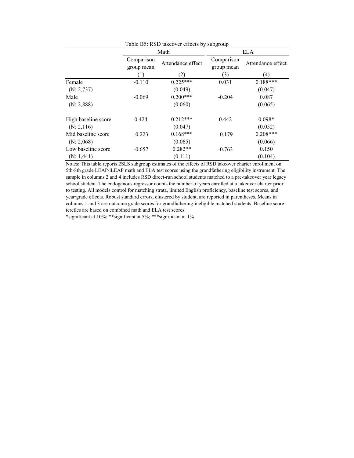| Table B5: RSD takeover effects by subgroup |                          |                   |                          |                   |  |  |  |  |
|--------------------------------------------|--------------------------|-------------------|--------------------------|-------------------|--|--|--|--|
|                                            |                          | Math              | <b>ELA</b>               |                   |  |  |  |  |
|                                            | Comparison<br>group mean | Attendance effect | Comparison<br>group mean | Attendance effect |  |  |  |  |
|                                            | (1)                      | (2)               | (3)                      | $\left( 4\right)$ |  |  |  |  |
| Female                                     | $-0.110$                 | $0.225***$        | 0.031                    | $0.188***$        |  |  |  |  |
| (N: 2, 737)                                |                          | (0.049)           |                          | (0.047)           |  |  |  |  |
| Male                                       | $-0.069$                 | $0.200***$        | $-0.204$                 | 0.087             |  |  |  |  |
| (N: 2, 888)                                |                          | (0.060)           |                          | (0.065)           |  |  |  |  |
| High baseline score                        | 0.424                    | $0.212***$        | 0.442                    | $0.098*$          |  |  |  |  |
| (N: 2, 116)                                |                          | (0.047)           |                          | (0.052)           |  |  |  |  |
| Mid baseline score                         | $-0.223$                 | $0.168***$        | $-0.179$                 | $0.208***$        |  |  |  |  |
| (N: 2,068)                                 |                          | (0.065)           |                          | (0.066)           |  |  |  |  |
| Low baseline score                         | $-0.657$                 | $0.282**$         | $-0.763$                 | 0.150             |  |  |  |  |
| (N: 1, 441)                                |                          | (0.111)           |                          | (0.104)           |  |  |  |  |

Notes: This table reports 2SLS subgroup estimates of the effects of RSD takeover charter enrollment on 5th-8th grade LEAP/iLEAP math and ELA test scores using the grandfathering eligibility instrument. The sample in columns 2 and 4 includes RSD direct-run school students matched to a pre-takeover year legacy school student. The endogenous regressor counts the number of years enrolled at a takeover charter prior to testing. All models control for matching strata, limited English proficiency, baseline test scores, and year/grade effects. Robust standard errors, clustered by student, are reported in parentheses. Means in columns 1 and 3 are outcome grade scores for grandfathering-ineligible matched students. Baseline score terciles are based on combined math and ELA test scores.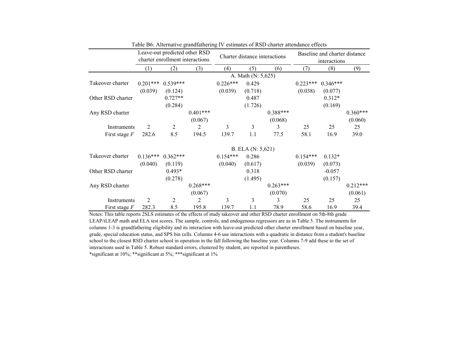|                   |            | Leave-out predicted other RSD<br>charter enrollment interactions |            | Charter distance interactions |                    |            |            | Baseline and charter distance<br>interactions |            |
|-------------------|------------|------------------------------------------------------------------|------------|-------------------------------|--------------------|------------|------------|-----------------------------------------------|------------|
|                   | (1)        | (2)                                                              | (3)        | (4)                           | (5)                | (6)        | (7)        | (8)                                           | (9)        |
|                   |            |                                                                  |            |                               | A. Math (N: 5,625) |            |            |                                               |            |
| Takeover charter  | $0.201***$ | $0.539***$                                                       |            | $0.226***$                    | 0.429              |            | $0.223***$ | $0.346***$                                    |            |
|                   | (0.039)    | (0.124)                                                          |            | (0.039)                       | (0.718)            |            | (0.038)    | (0.077)                                       |            |
| Other RSD charter |            | $0.727**$                                                        |            |                               | 0.487              |            |            | $0.312*$                                      |            |
|                   |            | (0.284)                                                          |            |                               | (1.726)            |            |            | (0.169)                                       |            |
| Any RSD charter   |            |                                                                  | $0.401***$ |                               |                    | $0.388***$ |            |                                               | $0.360***$ |
|                   |            |                                                                  | (0.067)    |                               |                    | (0.068)    |            |                                               | (0.060)    |
| Instruments       | 2          | $\overline{2}$                                                   | 2          | 3                             | 3                  | 3          | 25         | 25                                            | 25         |
| First stage $F$   | 282.6      | 8.5                                                              | 194.5      | 139.7                         | 1.1                | 77.5       | 58.1       | 16.9                                          | 39.0       |
|                   |            |                                                                  |            |                               | B. ELA (N: 5,621)  |            |            |                                               |            |
| Takeover charter  | $0.136***$ | $0.362***$                                                       |            | $0.154***$                    | 0.286              |            | $0.154***$ | $0.132*$                                      |            |
|                   | (0.040)    | (0.119)                                                          |            | (0.040)                       | (0.617)            |            | (0.039)    | (0.073)                                       |            |
| Other RSD charter |            | $0.493*$                                                         |            |                               | 0.318              |            |            | $-0.057$                                      |            |
|                   |            | (0.278)                                                          |            |                               | (1.495)            |            |            | (0.157)                                       |            |
| Any RSD charter   |            |                                                                  | $0.268***$ |                               |                    | $0.263***$ |            |                                               | $0.212***$ |
|                   |            |                                                                  | (0.067)    |                               |                    | (0.070)    |            |                                               | (0.061)    |
| Instruments       | 2          | $\overline{2}$                                                   | 2          | 3                             | 3                  | 3          | 25         | 25                                            | 25         |
| First stage $F$   | 282.3      | 8.5                                                              | 195.8      | 139.7                         | 1.1                | 78.9       | 58.6       | 16.9                                          | 39.4       |

Table B6: Alternative grandfathering IV estimates of RSD charter attendance effects

Notes: This table reports 2SLS estimates of the effects of study takeover and other RSD charter enrollment on 5th-8th grade LEAP/iLEAP math and ELA test scores. The sample, controls, and endogenous regressors are as in Table 5. The instruments for columns 1-3 is grandfathering eligibility and its interaction with leave-out predicted other charter enrollment based on baseline year, grade, special education status, and SPS bin cells. Columns 4-6 use interactions with a quadratic in distance from a student's baseline school to the closest RSD charter school in operation in the fall following the baseline year. Columns 7-9 add these to the set of interactions used in Table 5. Robust standard errors, clustered by student, are reported in parentheses.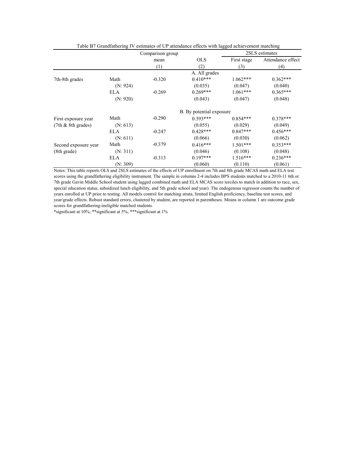|                       |            | Comparison group |                          |             | 2SLS estimates    |
|-----------------------|------------|------------------|--------------------------|-------------|-------------------|
|                       |            | mean             | <b>OLS</b>               | First stage | Attendance effect |
|                       |            | (1)              | (2)                      | (3)         | (4)               |
|                       |            |                  | A. All grades            |             |                   |
| 7th-8th grades        | Math       | $-0.320$         | $0.410***$               | $1.062***$  | $0.362***$        |
|                       | (N: 924)   |                  | (0.035)                  | (0.047)     | (0.040)           |
|                       | <b>ELA</b> | $-0.269$         | $0.269***$               | $1.061***$  | $0.365***$        |
|                       | (N: 920)   |                  | (0.043)                  | (0.047)     | (0.048)           |
|                       |            |                  | B. By potential exposure |             |                   |
| First exposure year   | Math       | $-0.290$         | $0.393***$               | $0.854***$  | $0.378***$        |
| $(7th & 8th$ grades)  | (N: 613)   |                  | (0.055)                  | (0.029)     | (0.049)           |
|                       | ELA        | $-0.247$         | $0.428***$               | $0.847***$  | $0.456***$        |
|                       | (N: 611)   |                  | (0.066)                  | (0.030)     | (0.062)           |
| Second exposure year  | Math       | $-0.379$         | $0.416***$               | $1.501***$  | $0.353***$        |
| $(8th \text{ grade})$ | (N: 311)   |                  | (0.046)                  | (0.108)     | (0.048)           |
|                       | <b>ELA</b> | $-0.313$         | $0.197***$               | $1.516***$  | $0.236***$        |
|                       | (N: 309)   | $\sim$ $\sim$    | (0.060)                  | (0.110)     | (0.061)           |

Table B7 Grandfathering IV estimates of UP attendance effects with lagged achievement matching

Notes: This table reports OLS and 2SLS estimates of the effects of UP enrollment on 7th and 8th grade MCAS math and ELA test scores using the grandfathering eligibility instrument. The sample in columns 2-4 includes BPS students matched to a 2010-11 6th or 7th grade Gavin Middle School student using lagged combined math and ELA MCAS score terciles to match in addition to race, sex, special education status, subsidized lunch eligibility, and 5th grade school and year). The endogenous regressor counts the number of years enrolled at UP prior to testing. All models control for matching strata, limited English proficiency, baseline test scores, and year/grade effects. Robust standard errors, clustered by student, are reported in parentheses. Means in column 1 are outcome grade scores for grandfathering-ineligible matched students.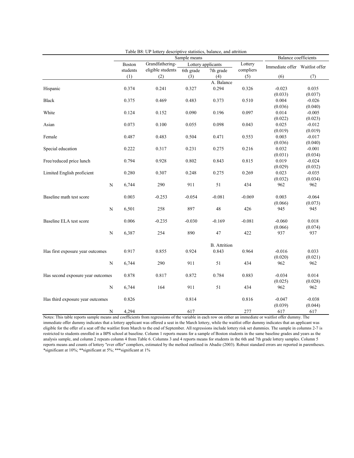|                                   |             | radic Do. Or folici y descriptive statistics, balance, and attribute<br>Sample means |                   |           |                     | <b>Balance coefficients</b> |                                |                     |
|-----------------------------------|-------------|--------------------------------------------------------------------------------------|-------------------|-----------|---------------------|-----------------------------|--------------------------------|---------------------|
|                                   |             | <b>Boston</b>                                                                        | Grandfathering-   |           | Lottery applicants  | Lottery                     |                                |                     |
|                                   |             | students                                                                             | eligible students | 6th grade | 7th grade           | compliers                   | Immediate offer Waitlist offer |                     |
|                                   |             | (1)                                                                                  | (2)               | (3)       | (4)                 | (5)                         | (6)                            | (7)                 |
|                                   |             |                                                                                      |                   |           | A. Balance          |                             |                                |                     |
| Hispanic                          |             | 0.374                                                                                | 0.241             | 0.327     | 0.294               | 0.326                       | $-0.023$                       | 0.035               |
|                                   |             |                                                                                      |                   |           |                     |                             | (0.033)                        | (0.037)             |
| <b>Black</b>                      |             | 0.375                                                                                | 0.469             | 0.483     | 0.373               | 0.510                       | 0.004                          | $-0.026$            |
|                                   |             |                                                                                      |                   |           |                     |                             | (0.036)                        | (0.040)             |
| White                             |             | 0.124                                                                                | 0.152             | 0.090     | 0.196               | 0.097                       | 0.014                          | $-0.005$            |
|                                   |             |                                                                                      |                   |           |                     |                             | (0.022)                        | (0.023)             |
| Asian                             |             | 0.073                                                                                | 0.100             | 0.055     | 0.098               | 0.043                       | 0.025                          | $-0.012$            |
|                                   |             |                                                                                      |                   |           |                     |                             | (0.019)                        | (0.019)             |
| Female                            |             | 0.487                                                                                | 0.483             | 0.504     | 0.471               | 0.553                       | 0.003                          | $-0.017$            |
|                                   |             |                                                                                      |                   |           |                     |                             | (0.036)                        | (0.040)             |
| Special education                 |             | 0.222                                                                                | 0.317             | 0.231     | 0.275               | 0.216                       | 0.032                          | $-0.001$            |
|                                   |             |                                                                                      |                   |           |                     |                             | (0.031)                        | (0.034)             |
| Free/reduced price lunch          |             | 0.794                                                                                | 0.928             | 0.802     | 0.843               | 0.815                       | 0.019                          | $-0.024$            |
|                                   |             |                                                                                      |                   |           |                     |                             | (0.029)<br>0.023               | (0.032)<br>$-0.035$ |
| Limited English proficient        |             | 0.280                                                                                | 0.307             | 0.248     | 0.275               | 0.269                       | (0.032)                        |                     |
|                                   | ${\bf N}$   | 6,744                                                                                | 290               | 911       | 51                  | 434                         | 962                            | (0.034)<br>962      |
|                                   |             |                                                                                      |                   |           |                     |                             |                                |                     |
| Baseline math test score          |             | 0.003                                                                                | $-0.253$          | $-0.054$  | $-0.081$            | $-0.069$                    | 0.003                          | $-0.064$            |
|                                   |             |                                                                                      |                   |           |                     |                             | (0.066)                        | (0.073)             |
|                                   | $\mathbf N$ | 6,501                                                                                | 258               | 897       | 48                  | 426                         | 945                            | 945                 |
|                                   |             |                                                                                      |                   |           |                     |                             |                                |                     |
| Baseline ELA test score           |             | 0.006                                                                                | $-0.235$          | $-0.030$  | $-0.169$            | $-0.081$                    | $-0.060$                       | 0.018               |
|                                   |             |                                                                                      |                   |           |                     |                             | (0.066)                        | (0.074)             |
|                                   | ${\bf N}$   | 6,387                                                                                | 254               | 890       | $47\,$              | 422                         | 937                            | 937                 |
|                                   |             |                                                                                      |                   |           |                     |                             |                                |                     |
|                                   |             |                                                                                      |                   |           | <b>B.</b> Attrition |                             |                                |                     |
| Has first exposure year outcomes  |             | 0.917                                                                                | 0.855             | 0.924     | 0.843               | 0.964                       | $-0.016$                       | 0.033               |
|                                   |             |                                                                                      |                   |           |                     |                             | (0.020)                        | (0.021)             |
|                                   | N           | 6,744                                                                                | 290               | 911       | 51                  | 434                         | 962                            | 962                 |
|                                   |             |                                                                                      |                   |           |                     |                             |                                |                     |
| Has second exposure year outcomes |             | 0.878                                                                                | 0.817             | 0.872     | 0.784               | 0.883                       | $-0.034$                       | 0.014               |
|                                   |             |                                                                                      |                   |           |                     |                             | (0.025)                        | (0.028)             |
|                                   | N           | 6,744                                                                                | 164               | 911       | 51                  | 434                         | 962                            | 962                 |
|                                   |             | 0.826                                                                                |                   | 0.814     |                     | 0.816                       | $-0.047$                       | $-0.038$            |
| Has third exposure year outcomes  |             |                                                                                      |                   |           |                     |                             | (0.039)                        | (0.044)             |
|                                   | N           | 4,294                                                                                |                   | 617       |                     | 277                         | 617                            | 617                 |
|                                   |             |                                                                                      |                   |           |                     |                             |                                |                     |

Table B8: UP lottery descriptive statistics, balance, and attrition

Notes: This table reports sample means and coefficients from regressions of the variable in each row on either an immediate or waitlist offer dummy. The immediate offer dummy indicates that a lottery applicant was offered a seat in the March lottery, while the waitlist offer dummy indicates that an applicant was eligible for the offer of a seat off the waitlist from March to the end of September. All regressions include lottery risk set dummies. The sample in columns 2-7 is restricted to students enrolled in a BPS school at baseline. Column 1 reports means for a sample of Boston students in the same baseline grades and years as the analysis sample, and column 2 repeats column 4 from Table 6. Columns 3 and 4 reports means for students in the 6th and 7th grade lottery samples. Column 5 reports means and counts of lottery "ever offer" compliers, estimated by the method outlined in Abadie (2003). Robust standard errors are reported in parentheses. \*significant at 10%; \*\*significant at 5%; \*\*\*significant at 1%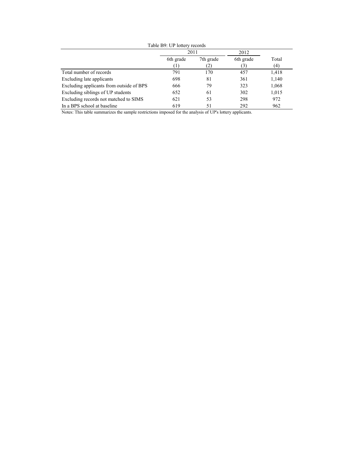|                                          | 2011      |                  | 2012                          |              |  |
|------------------------------------------|-----------|------------------|-------------------------------|--------------|--|
|                                          | 6th grade | 7th grade<br>(2) | 6th grade<br>$\left[3\right]$ | Total<br>(4) |  |
| Total number of records                  | 791       | 170              | 457                           | 1,418        |  |
| Excluding late applicants                | 698       | 81               | 361                           | 1,140        |  |
| Excluding applicants from outside of BPS | 666       | 79               | 323                           | 1,068        |  |
| Excluding siblings of UP students        | 652       | 61               | 302                           | 1,015        |  |
| Excluding records not matched to SIMS    | 621       | 53               | 298                           | 972          |  |
| In a BPS school at baseline              | 619       | 51               | 292                           | 962          |  |

Table B9: UP lottery records

Notes: This table summarizes the sample restrictions imposed for the analysis of UP's lottery applicants.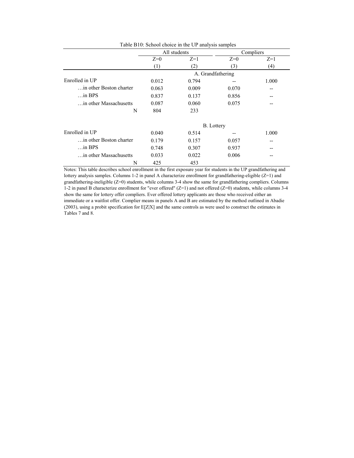|                                  |       | All students |                   | Compliers |
|----------------------------------|-------|--------------|-------------------|-----------|
|                                  | $Z=0$ | $Z=1$        | $Z=0$             | $Z=1$     |
|                                  | (1)   | (2)          | (3)               | (4)       |
|                                  |       |              | A. Grandfathering |           |
| Enrolled in UP                   | 0.012 | 0.794        |                   | 1.000     |
| $\ldots$ in other Boston charter | 0.063 | 0.009        | 0.070             | --        |
| $\ldots$ in BPS                  | 0.837 | 0.137        | 0.856             |           |
| in other Massachusetts           | 0.087 | 0.060        | 0.075             |           |
| N                                | 804   | 233          |                   |           |
|                                  |       |              | <b>B.</b> Lottery |           |
| Enrolled in UP                   | 0.040 | 0.514        | --                | 1.000     |
| in other Boston charter          | 0.179 | 0.157        | 0.057             |           |
| $\ldots$ in BPS                  | 0.748 | 0.307        | 0.937             |           |
| in other Massachusetts           | 0.033 | 0.022        | 0.006             |           |
| N                                | 425   | 453          |                   |           |

Table B10: School choice in the UP analysis samples

Notes: This table describes school enrollment in the first exposure year for students in the UP grandfathering and lottery analysis samples. Columns 1-2 in panel A characterize enrollment for grandfathering-eligible (Z=1) and grandfathering-ineligible (Z=0) students, while columns 3-4 show the same for grandfathering compliers. Columns 1-2 in panel B characterize enrollment for "ever offered" (Z=1) and not offered (Z=0) students, while columns 3-4 show the same for lottery offer compliers. Ever offered lottery applicants are those who received either an immediate or a waitlist offer. Complier means in panels A and B are estimated by the method outlined in Abadie (2003), using a probit specification for E[Z|X] and the same controls as were used to construct the estimates in Tables 7 and 8.